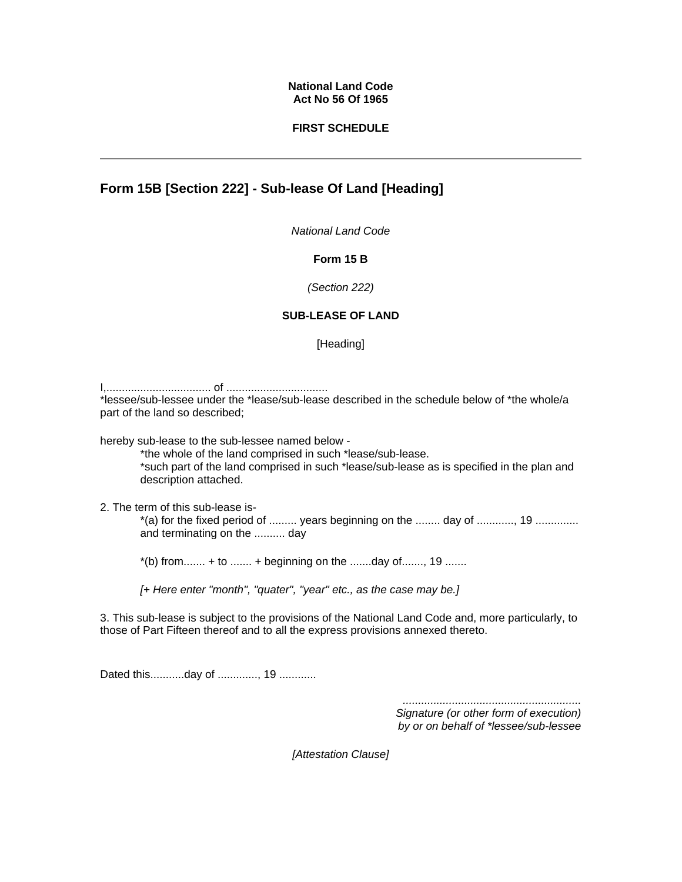#### **National Land Code Act No 56 Of 1965**

## **FIRST SCHEDULE**

# **Form 15B [Section 222] - Sub-lease Of Land [Heading]**

*National Land Code*

### **Form 15 B**

*(Section 222)*

## **SUB-LEASE OF LAND**

[Heading]

I,.................................. of .................................

\*lessee/sub-lessee under the \*lease/sub-lease described in the schedule below of \*the whole/a part of the land so described;

hereby sub-lease to the sub-lessee named below -

\*the whole of the land comprised in such \*lease/sub-lease. \*such part of the land comprised in such \*lease/sub-lease as is specified in the plan and description attached.

2. The term of this sub-lease is-

\*(a) for the fixed period of ......... years beginning on the ........ day of ............, 19 .............. and terminating on the .......... day

 $*(b)$  from....... + to ....... + beginning on the .......day of......., 19 .......

*[+ Here enter "month", "quater", "year" etc., as the case may be.]*

3. This sub-lease is subject to the provisions of the National Land Code and, more particularly, to those of Part Fifteen thereof and to all the express provisions annexed thereto.

Dated this............day of ............., 19 .............

*.......................................................... Signature (or other form of execution) by or on behalf of \*lessee/sub-lessee* 

*[Attestation Clause]*